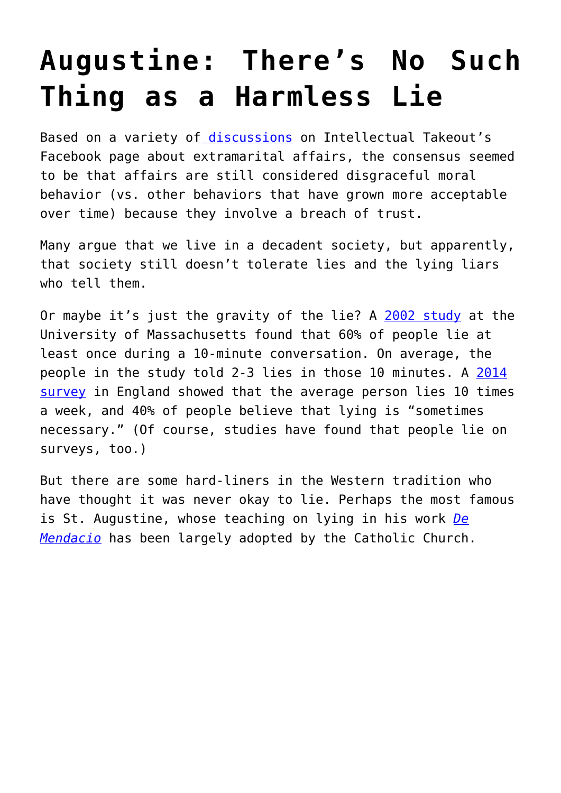## **[Augustine: There's No Such](https://intellectualtakeout.org/2015/08/augustine-theres-no-such-thing-as-a-harmless-lie/) [Thing as a Harmless Lie](https://intellectualtakeout.org/2015/08/augustine-theres-no-such-thing-as-a-harmless-lie/)**

Based on a variety o[f discussions](https://www.facebook.com/intellectual.takeout.org/posts/10155985645305173) on Intellectual Takeout's Facebook page about extramarital affairs, the consensus seemed to be that affairs are still considered disgraceful moral behavior (vs. other behaviors that have grown more acceptable over time) because they involve a breach of trust.

Many argue that we live in a decadent society, but apparently, that society still doesn't tolerate lies and the lying liars who tell them.

Or maybe it's just the gravity of the lie? A [2002 study](http://www.eurekalert.org/pub_releases/2002-06/uoma-urf061002.php) at the University of Massachusetts found that 60% of people lie at least once during a 10-minute conversation. On average, the people in the study told 2-3 lies in those 10 minutes. A [2014](http://www.telegraph.co.uk/news/newstopics/howaboutthat/11230110/Lies-have-become-an-accepted-part-of-British-life-poll-reveals.html) [survey](http://www.telegraph.co.uk/news/newstopics/howaboutthat/11230110/Lies-have-become-an-accepted-part-of-British-life-poll-reveals.html) in England showed that the average person lies 10 times a week, and 40% of people believe that lying is "sometimes necessary." (Of course, studies have found that people lie on surveys, too.)

But there are some hard-liners in the Western tradition who have thought it was never okay to lie. Perhaps the most famous is St. Augustine, whose teaching on lying in his work *[De](http://www.newadvent.org/fathers/1312.htm) [Mendacio](http://www.newadvent.org/fathers/1312.htm)* has been largely adopted by the Catholic Church.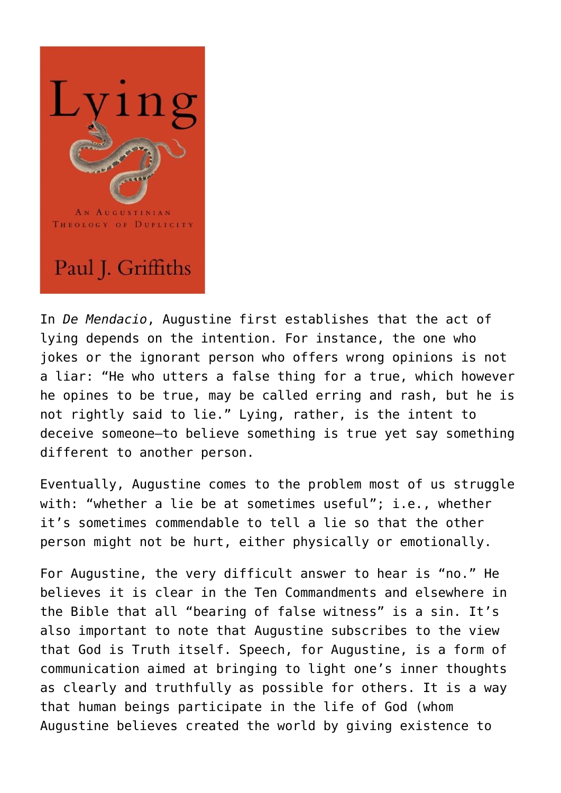

In *De Mendacio*, Augustine first establishes that the act of lying depends on the intention. For instance, the one who jokes or the ignorant person who offers wrong opinions is not a liar: "He who utters a false thing for a true, which however he opines to be true, may be called erring and rash, but he is not rightly said to lie." Lying, rather, is the intent to deceive someone—to believe something is true yet say something different to another person.

Eventually, Augustine comes to the problem most of us struggle with: "whether a lie be at sometimes useful"; i.e., whether it's sometimes commendable to tell a lie so that the other person might not be hurt, either physically or emotionally.

For Augustine, the very difficult answer to hear is "no." He believes it is clear in the Ten Commandments and elsewhere in the Bible that all "bearing of false witness" is a sin. It's also important to note that Augustine subscribes to the view that God is Truth itself. Speech, for Augustine, is a form of communication aimed at bringing to light one's inner thoughts as clearly and truthfully as possible for others. It is a way that human beings participate in the life of God (whom Augustine believes created the world by giving existence to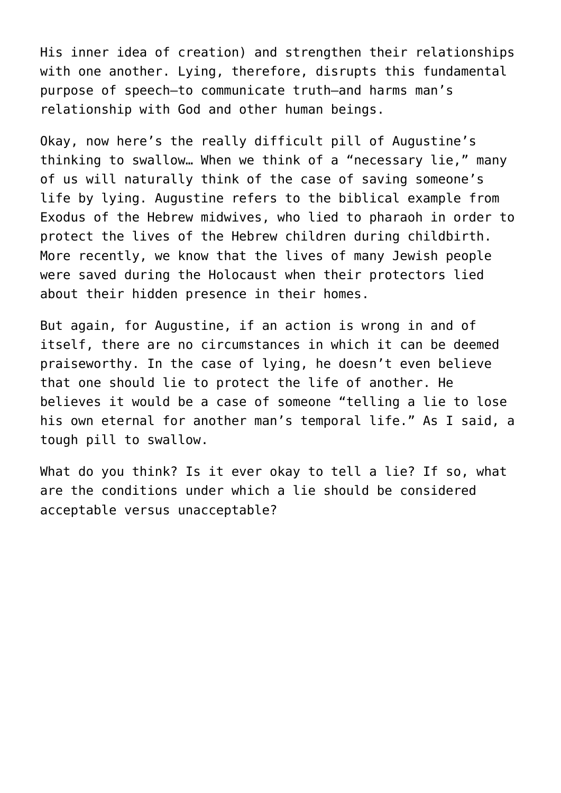His inner idea of creation) and strengthen their relationships with one another. Lying, therefore, disrupts this fundamental purpose of speech—to communicate truth—and harms man's relationship with God and other human beings.

Okay, now here's the really difficult pill of Augustine's thinking to swallow… When we think of a "necessary lie," many of us will naturally think of the case of saving someone's life by lying. Augustine refers to the biblical example from Exodus of the Hebrew midwives, who lied to pharaoh in order to protect the lives of the Hebrew children during childbirth. More recently, we know that the lives of many Jewish people were saved during the Holocaust when their protectors lied about their hidden presence in their homes.

But again, for Augustine, if an action is wrong in and of itself, there are no circumstances in which it can be deemed praiseworthy. In the case of lying, he doesn't even believe that one should lie to protect the life of another. He believes it would be a case of someone "telling a lie to lose his own eternal for another man's temporal life." As I said, a tough pill to swallow.

What do you think? Is it ever okay to tell a lie? If so, what are the conditions under which a lie should be considered acceptable versus unacceptable?